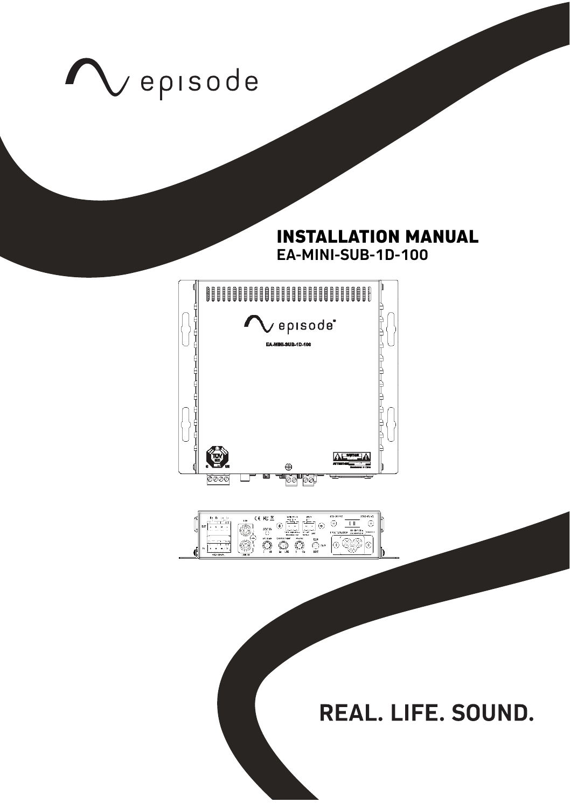

## **INSTALLATION MANUAL EA-MINI-SUB-1D-100**





REAL. LIFE. SOUND.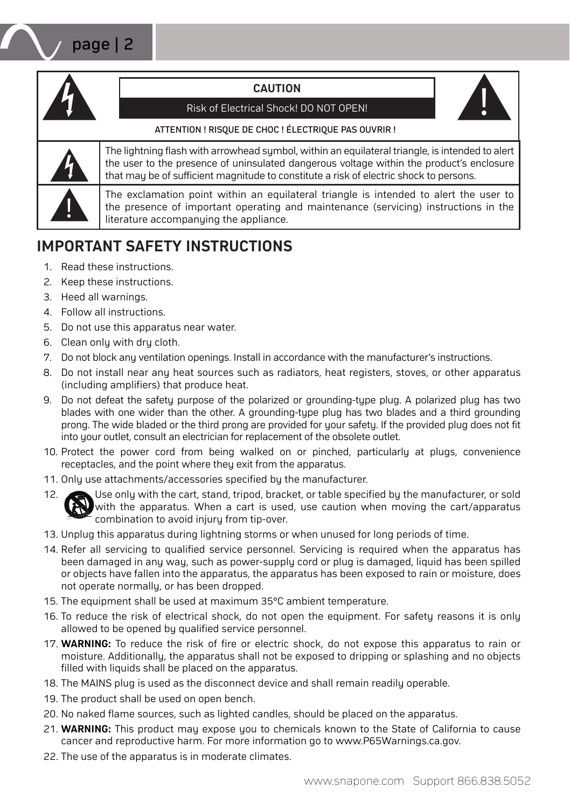#### **CAUTION**



#### Risk of Electrical Shock! DO NOT OPEN!

#### ATTENTION ! RISQUE DE CHOC ! ÉLECTRIQUE PAS OUVRIR !



The lightning flash with arrowhead sumbol, within an equilateral triangle, is intended to alert the user to the presence of uninsulated dangerous voltage within the product's enclosure that may be of sufficient magnitude to constitute a risk of electric shock to persons.

The exclamation point within an equilateral triangle is intended to alert the user to the presence of important operating and maintenance (servicing) instructions in the literature accompanying the appliance.

# **IMPORTANT SAFETY INSTRUCTIONS**

- 1. Read these instructions.
- 2. Keep these instructions.
- 3. Heed all warnings.
- 4. Follow all instructions.
- 5. Do not use this apparatus near water.
- 6. Clean only with dry cloth.
- 7. Do not block any ventilation openings. Install in accordance with the manufacturer's instructions.
- 8. Do not install near any heat sources such as radiators, heat registers, stoves, or other apparatus (including amplifiers) that produce heat.
- 9. Do not defeat the safety purpose of the polarized or grounding-type plug. A polarized plug has two blades with one wider than the other. A grounding-type plug has two blades and a third grounding prong. The wide bladed or the third prong are provided for your safety. If the provided plug does not fit into your outlet, consult an electrician for replacement of the obsolete outlet.
- 10. Protect the power cord from being walked on or pinched, particularly at plugs, convenience receptacles, and the point where they exit from the apparatus.
- 11. Only use attachments/accessories specified by the manufacturer.
- 12. Use only with the cart, stand, tripod, bracket, or table specified by the manufacturer, or sold with the apparatus. When a cart is used, use caution when moving the cart/apparatus combination to avoid injury from tip-over.
- 13. Unplug this apparatus during lightning storms or when unused for long periods of time.
- 14. Refer all servicing to qualified service personnel. Servicing is required when the apparatus has been damaged in any way, such as power-supply cord or plug is damaged, liquid has been spilled or objects have fallen into the apparatus, the apparatus has been exposed to rain or moisture, does not operate normally, or has been dropped.
- 15. The equipment shall be used at maximum 35°C ambient temperature.
- 16. To reduce the risk of electrical shock, do not open the equipment. For safety reasons it is only allowed to be opened by qualified service personnel.
- 17. **WARNING:** To reduce the risk of fire or electric shock, do not expose this apparatus to rain or moisture. Additionally, the apparatus shall not be exposed to dripping or splashing and no objects filled with liquids shall be placed on the apparatus.
- 18. The MAINS plug is used as the disconnect device and shall remain readily operable.
- 19. The product shall be used on open bench.
- 20. No naked flame sources, such as lighted candles, should be placed on the apparatus.
- 21. **WARNING:** This product may expose you to chemicals known to the State of California to cause cancer and reproductive harm. For more information go to www.P65Warnings.ca.gov.
- 22. The use of the apparatus is in moderate climates.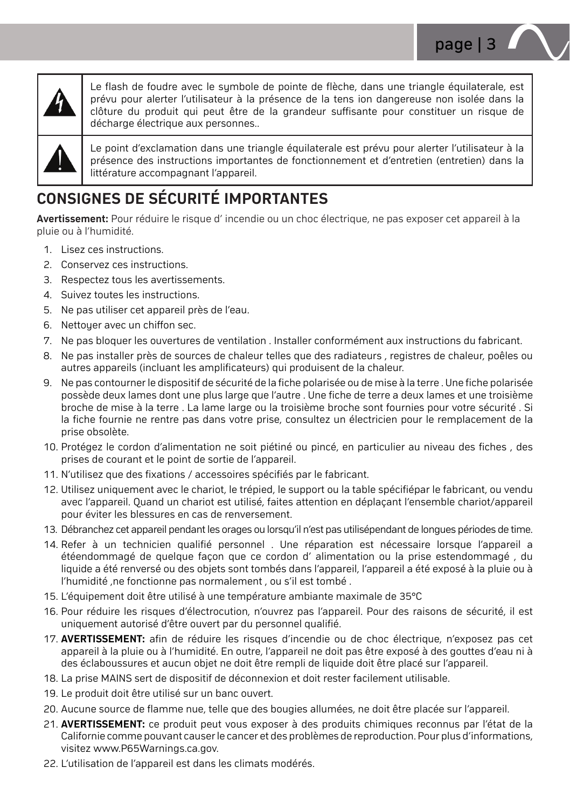



Le flash de foudre avec le sumbole de pointe de flèche, dans une triangle équilaterale, est prévu pour alerter l'utilisateur à la présence de la tens ion dangereuse non isolée dans la clôture du produit qui peut être de la grandeur suffisante pour constituer un risque de décharge électrique aux personnes..

Le point d'exclamation dans une triangle équilaterale est prévu pour alerter l'utilisateur à la présence des instructions importantes de fonctionnement et d'entretien (entretien) dans la littérature accompagnant l'appareil.

# **CONSIGNES DE SÉCURITÉ IMPORTANTES**

**Avertissement:** Pour réduire le risque d' incendie ou un choc électrique, ne pas exposer cet appareil à la pluie ou à l'humidité.

- 1. Lisez ces instructions.
- 2. Conservez ces instructions.
- 3. Respectez tous les avertissements.
- 4. Suivez toutes les instructions.
- 5. Ne pas utiliser cet appareil près de l'eau.
- 6. Nettoyer avec un chiffon sec.
- 7. Ne pas bloquer les ouvertures de ventilation . Installer conformément aux instructions du fabricant.
- 8. Ne pas installer près de sources de chaleur telles que des radiateurs , registres de chaleur, poêles ou autres appareils (incluant les amplificateurs) qui produisent de la chaleur.
- 9. Ne pas contourner le dispositif de sécurité de la fiche polarisée ou de mise à la terre . Une fiche polarisée possède deux lames dont une plus large que l'autre . Une fiche de terre a deux lames et une troisième broche de mise à la terre . La lame large ou la troisième broche sont fournies pour votre sécurité . Si la fiche fournie ne rentre pas dans votre prise, consultez un électricien pour le remplacement de la prise obsolète.
- 10. Protégez le cordon d'alimentation ne soit piétiné ou pincé, en particulier au niveau des fiches , des prises de courant et le point de sortie de l'appareil.
- 11. N'utilisez que des fixations / accessoires spécifiés par le fabricant.
- 12. Utilisez uniquement avec le chariot, le trépied, le support ou la table spécifiépar le fabricant, ou vendu avec l'appareil. Quand un chariot est utilisé, faites attention en déplaçant l'ensemble chariot/appareil pour éviter les blessures en cas de renversement.
- 13. Débranchez cet appareil pendant les orages ou lorsqu'il n'est pas utilisépendant de longues périodes de time.
- 14. Refer à un technicien qualifié personnel . Une réparation est nécessaire lorsque l'appareil a étéendommagé de quelque façon que ce cordon d' alimentation ou la prise estendommagé , du liquide a été renversé ou des objets sont tombés dans l'appareil, l'appareil a été exposé à la pluie ou à l'humidité ,ne fonctionne pas normalement , ou s'il est tombé .
- 15. L'équipement doit être utilisé à une température ambiante maximale de 35°C
- 16. Pour réduire les risques d'électrocution, n'ouvrez pas l'appareil. Pour des raisons de sécurité, il est uniquement autorisé d'être ouvert par du personnel qualifié.
- 17. **AVERTISSEMENT:** afin de réduire les risques d'incendie ou de choc électrique, n'exposez pas cet appareil à la pluie ou à l'humidité. En outre, l'appareil ne doit pas être exposé à des gouttes d'eau ni à des éclaboussures et aucun objet ne doit être rempli de liquide doit être placé sur l'appareil.
- 18. La prise MAINS sert de dispositif de déconnexion et doit rester facilement utilisable.
- 19. Le produit doit être utilisé sur un banc ouvert.
- 20. Aucune source de flamme nue, telle que des bougies allumées, ne doit être placée sur l'appareil.
- 21. **AVERTISSEMENT:** ce produit peut vous exposer à des produits chimiques reconnus par l'état de la Californie comme pouvant causer le cancer et des problèmes de reproduction. Pour plus d'informations, visitez www.P65Warnings.ca.gov.
- 22. L'utilisation de l'appareil est dans les climats modérés.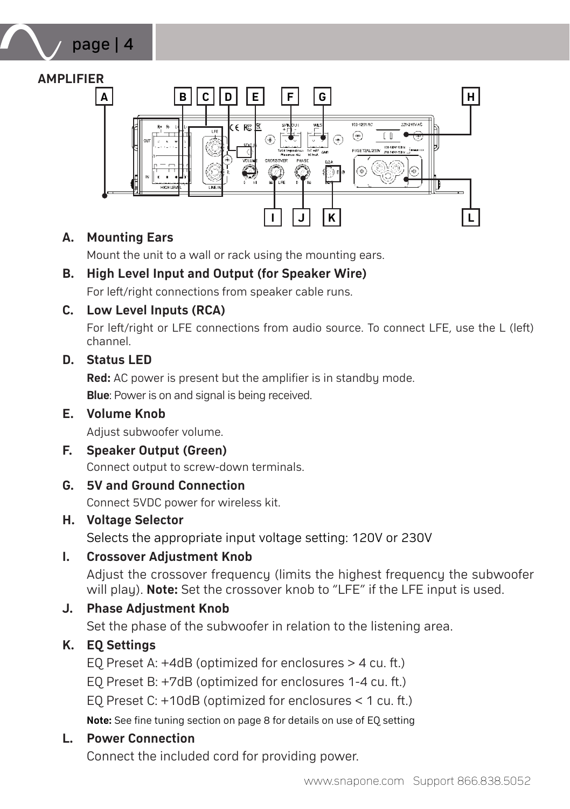## **AMPLIFIER**

page | 4



### **A. Mounting Ears**

Mount the unit to a wall or rack using the mounting ears.

## **B. High Level Input and Output (for Speaker Wire)**

For left/right connections from speaker cable runs.

### **C. Low Level Inputs (RCA)**

For left/right or LFE connections from audio source. To connect LFE, use the L (left) channel.

## **D. Status LED**

**Red:** AC power is present but the amplifier is in standby mode. **Blue**: Power is on and signal is being received.

### **E. Volume Knob**

Adjust subwoofer volume.

#### **F. Speaker Output (Green)**

Connect output to screw-down terminals.

### **G. 5V and Ground Connection**

Connect 5VDC power for wireless kit.

**H. Voltage Selector**

Selects the appropriate input voltage setting: 120V or 230V

### **I. Crossover Adjustment Knob**

Adjust the crossover frequency (limits the highest frequency the subwoofer will play). **Note:** Set the crossover knob to "LFE" if the LFE input is used.

## **J. Phase Adjustment Knob**

Set the phase of the subwoofer in relation to the listening area.

## **K. EQ Settings**

EQ Preset A: +4dB (optimized for enclosures > 4 cu. ft.) EQ Preset B: +7dB (optimized for enclosures 1-4 cu. ft.) EQ Preset C: +10dB (optimized for enclosures < 1 cu. ft.) **Note:** See fine tuning section on page 8 for details on use of EQ setting

### **L. Power Connection**

Connect the included cord for providing power.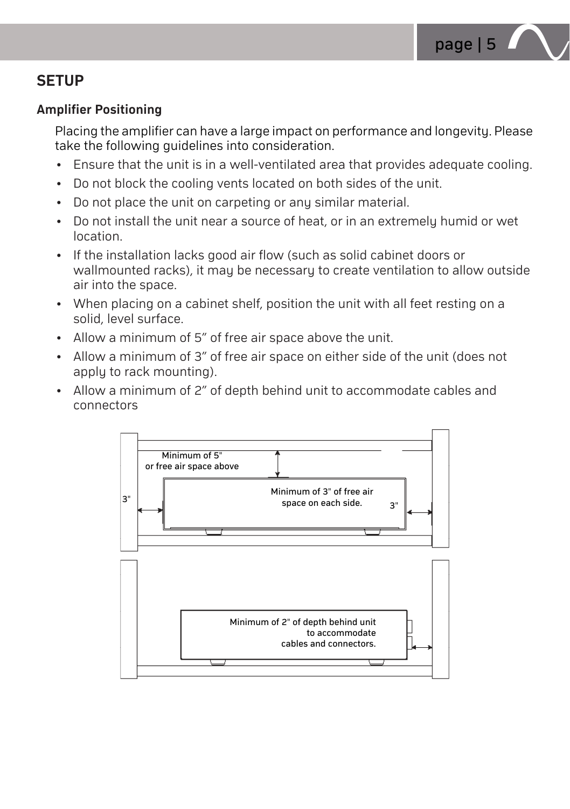

# **SETUP**

### **Amplifier Positioning**

Placing the amplifier can have a large impact on performance and longevity. Please take the following guidelines into consideration.

- Ensure that the unit is in a well-ventilated area that provides adequate cooling.
- Do not block the cooling vents located on both sides of the unit.
- Do not place the unit on carpeting or any similar material.
- Do not install the unit near a source of heat, or in an extremely humid or wet location.
- If the installation lacks good air flow (such as solid cabinet doors or wallmounted racks), it may be necessary to create ventilation to allow outside air into the space.
- When placing on a cabinet shelf, position the unit with all feet resting on a solid, level surface.
- Allow a minimum of 5" of free air space above the unit.
- Allow a minimum of 3" of free air space on either side of the unit (does not apply to rack mounting).
- Allow a minimum of 2" of depth behind unit to accommodate cables and connectors

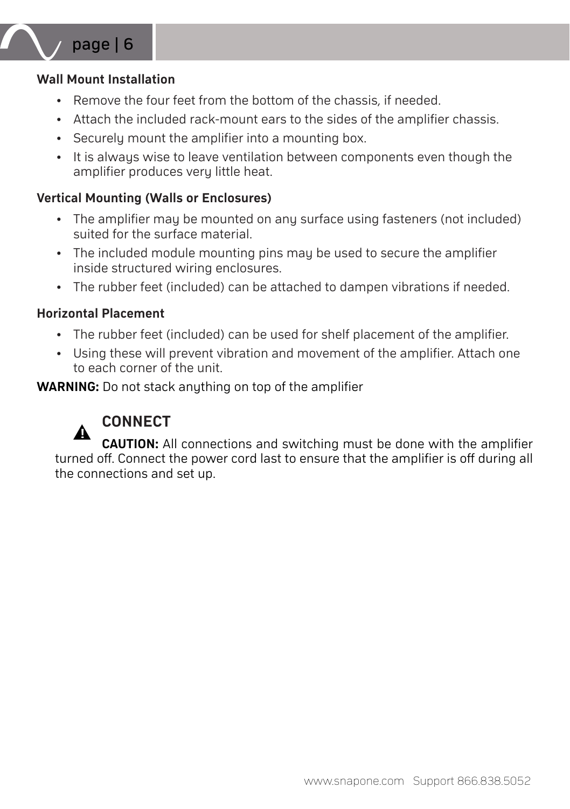

#### **Wall Mount Installation**

- Remove the four feet from the bottom of the chassis, if needed.
- Attach the included rack-mount ears to the sides of the amplifier chassis.
- Securely mount the amplifier into a mounting box.
- It is always wise to leave ventilation between components even though the amplifier produces very little heat.

### **Vertical Mounting (Walls or Enclosures)**

- The amplifier may be mounted on any surface using fasteners (not included) suited for the surface material.
- The included module mounting pins may be used to secure the amplifier inside structured wiring enclosures.
- The rubber feet (included) can be attached to dampen vibrations if needed.

### **Horizontal Placement**

- The rubber feet (included) can be used for shelf placement of the amplifier.
- Using these will prevent vibration and movement of the amplifier. Attach one to each corner of the unit.

**WARNING:** Do not stack anything on top of the amplifier



# **CONNECT**

**CAUTION:** All connections and switching must be done with the amplifier turned off. Connect the power cord last to ensure that the amplifier is off during all the connections and set up.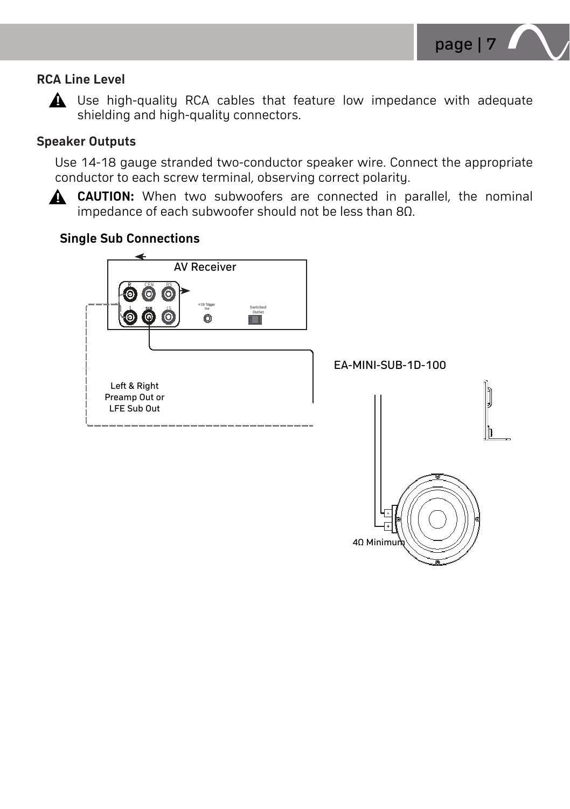

### **RCA Line Level**



 $\triangle$  Use high-quality RCA cables that feature low impedance with adequate shielding and high-quality connectors.

### **Speaker Outputs**

Use 14-18 gauge stranded two-conductor speaker wire. Connect the appropriate conductor to each screw terminal, observing correct polarity.

**CAUTION:** When two subwoofers are connected in parallel, the nominal impedance of each subwoofer should not be less than 8Ω.

### **Single Sub Connections**

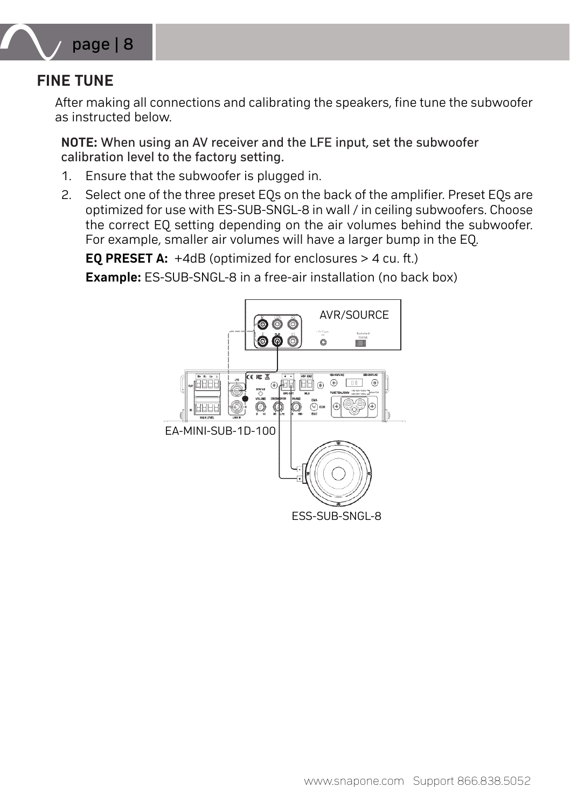

# **FINE TUNE**

After making all connections and calibrating the speakers, fine tune the subwoofer as instructed below.

**NOTE:** When using an AV receiver and the LFE input, set the subwoofer calibration level to the factory setting.

- 1. Ensure that the subwoofer is plugged in.
- 2. Select one of the three preset EQs on the back of the amplifier. Preset EQs are optimized for use with ES-SUB-SNGL-8 in wall / in ceiling subwoofers. Choose the correct EQ setting depending on the air volumes behind the subwoofer. For example, smaller air volumes will have a larger bump in the EQ.

**EQ PRESET A:** +4dB (optimized for enclosures > 4 cu. ft.)

**Example:** ES-SUB-SNGL-8 in a free-air installation (no back box)

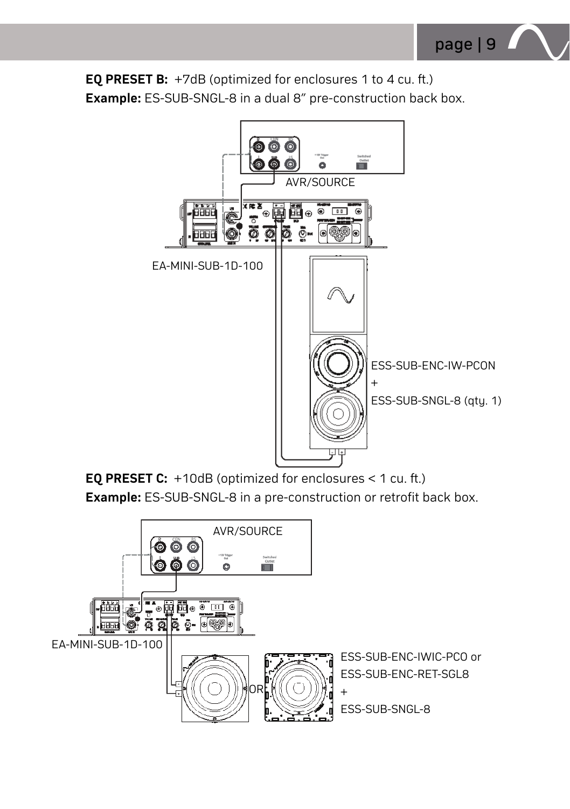**EQ PRESET B:** +7dB (optimized for enclosures 1 to 4 cu. ft.) **Example:** ES-SUB-SNGL-8 in a dual 8" pre-construction back box.



**EQ PRESET C:** +10dB (optimized for enclosures < 1 cu. ft.) **Example:** ES-SUB-SNGL-8 in a pre-construction or retrofit back box.

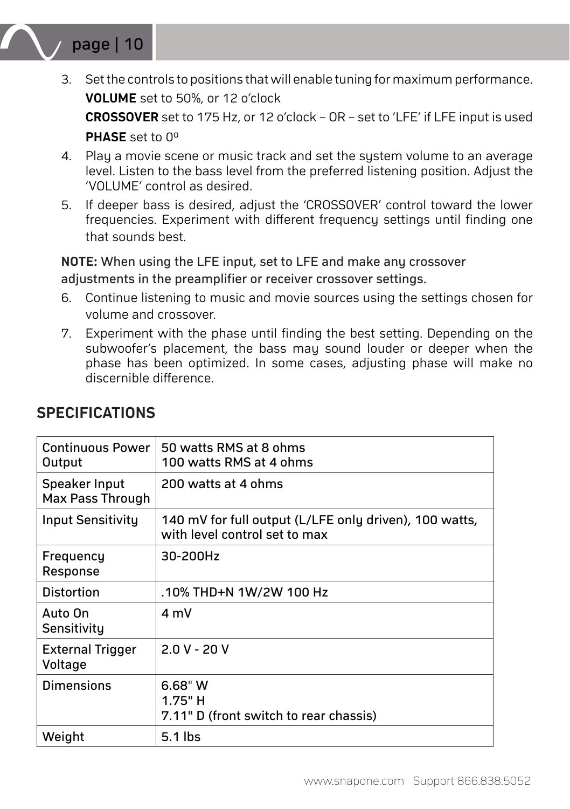

- 3. Set the controls to positions that will enable tuning for maximum performance. **VOLUME** set to 50%, or 12 o'clock **CROSSOVER** set to 175 Hz, or 12 o'clock – OR – set to 'LFE' if LFE input is used **PHASE** set to 0°
- 4. Play a movie scene or music track and set the system volume to an average level. Listen to the bass level from the preferred listening position. Adjust the 'VOLUME' control as desired.
- 5. If deeper bass is desired, adjust the 'CROSSOVER' control toward the lower frequencies. Experiment with different frequency settings until finding one that sounds best.

**NOTE:** When using the LFE input, set to LFE and make any crossover adjustments in the preamplifier or receiver crossover settings.

- 6. Continue listening to music and movie sources using the settings chosen for volume and crossover.
- 7. Experiment with the phase until finding the best setting. Depending on the subwoofer's placement, the bass may sound louder or deeper when the phase has been optimized. In some cases, adjusting phase will make no discernible difference.

| Continuous Power<br>Output         | 50 watts RMS at 8 ohms<br>100 watts RMS at 4 ohms                                       |
|------------------------------------|-----------------------------------------------------------------------------------------|
| Speaker Input<br>Max Pass Through  | 200 watts at 4 ohms                                                                     |
| Input Sensitivity                  | 140 mV for full output (L/LFE only driven), 100 watts,<br>with level control set to max |
| Frequency<br>Response              | 30-200Hz                                                                                |
| <b>Distortion</b>                  | .10% THD+N 1W/2W 100 Hz                                                                 |
| Auto On<br>Sensitivity             | 4 mV                                                                                    |
| <b>External Trigger</b><br>Voltage | $2.0 V - 20 V$                                                                          |
| Dimensions                         | $6.68"$ W<br>$1.75"$ H<br>7.11" D (front switch to rear chassis)                        |
| Weight                             | $5.1$ lbs                                                                               |

## **SPECIFICATIONS**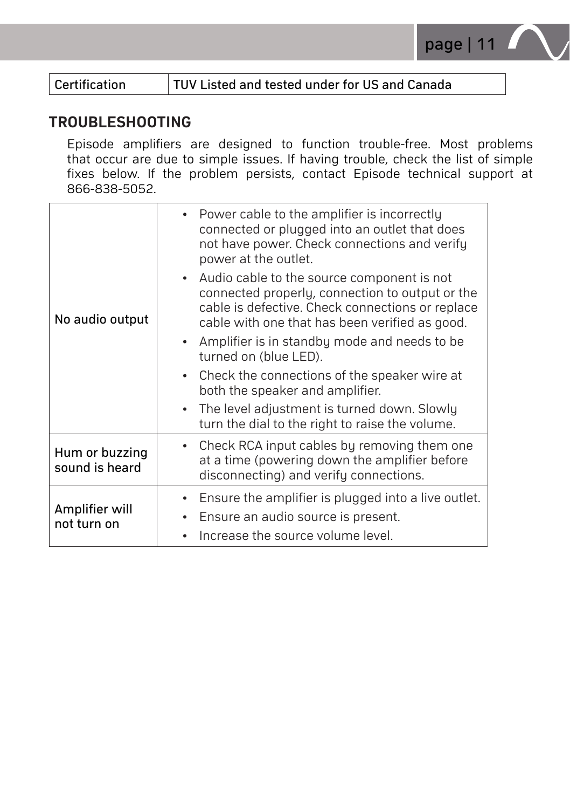

Certification **TUV Listed and tested under for US and Canada** 

## **TROUBLESHOOTING**

Episode amplifiers are designed to function trouble-free. Most problems that occur are due to simple issues. If having trouble, check the list of simple fixes below. If the problem persists, contact Episode technical support at 866-838-5052.

| No audio output                  | • Power cable to the amplifier is incorrectly<br>connected or plugged into an outlet that does<br>not have power. Check connections and verify<br>power at the outlet.                                |
|----------------------------------|-------------------------------------------------------------------------------------------------------------------------------------------------------------------------------------------------------|
|                                  | • Audio cable to the source component is not<br>connected properly, connection to output or the<br>cable is defective. Check connections or replace<br>cable with one that has been verified as good. |
|                                  | • Amplifier is in standby mode and needs to be<br>turned on (blue LED).                                                                                                                               |
|                                  | • Check the connections of the speaker wire at<br>both the speaker and amplifier.                                                                                                                     |
|                                  | • The level adjustment is turned down. Slowly<br>turn the dial to the right to raise the volume.                                                                                                      |
| Hum or buzzing<br>sound is heard | • Check RCA input cables by removing them one<br>at a time (powering down the amplifier before<br>disconnecting) and verify connections.                                                              |
| Amplifier will<br>not turn on    | Ensure the amplifier is plugged into a live outlet.                                                                                                                                                   |
|                                  | Ensure an audio source is present.                                                                                                                                                                    |
|                                  | Increase the source volume level.                                                                                                                                                                     |